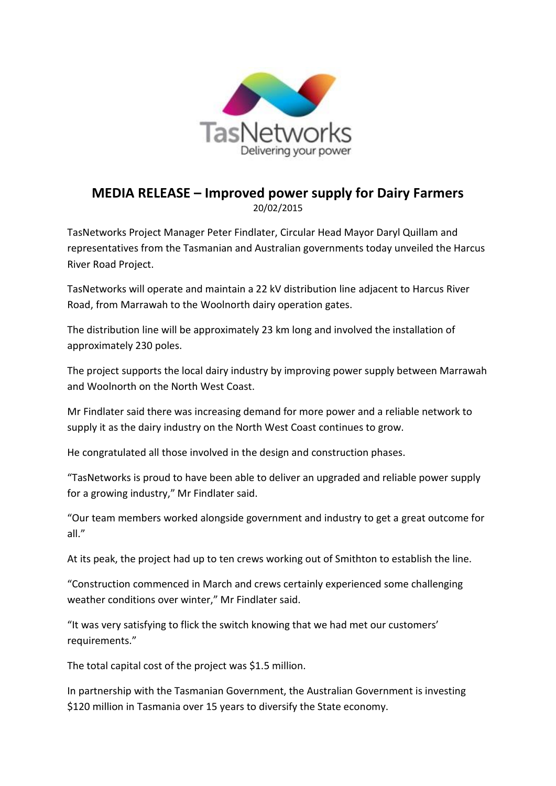

## **MEDIA RELEASE – Improved power supply for Dairy Farmers** 20/02/2015

TasNetworks Project Manager Peter Findlater, Circular Head Mayor Daryl Quillam and representatives from the Tasmanian and Australian governments today unveiled the Harcus River Road Project.

TasNetworks will operate and maintain a 22 kV distribution line adjacent to Harcus River Road, from Marrawah to the Woolnorth dairy operation gates.

The distribution line will be approximately 23 km long and involved the installation of approximately 230 poles.

The project supports the local dairy industry by improving power supply between Marrawah and Woolnorth on the North West Coast.

Mr Findlater said there was increasing demand for more power and a reliable network to supply it as the dairy industry on the North West Coast continues to grow.

He congratulated all those involved in the design and construction phases.

"TasNetworks is proud to have been able to deliver an upgraded and reliable power supply for a growing industry," Mr Findlater said.

"Our team members worked alongside government and industry to get a great outcome for all."

At its peak, the project had up to ten crews working out of Smithton to establish the line.

"Construction commenced in March and crews certainly experienced some challenging weather conditions over winter," Mr Findlater said.

"It was very satisfying to flick the switch knowing that we had met our customers' requirements."

The total capital cost of the project was \$1.5 million.

In partnership with the Tasmanian Government, the Australian Government is investing \$120 million in Tasmania over 15 years to diversify the State economy.